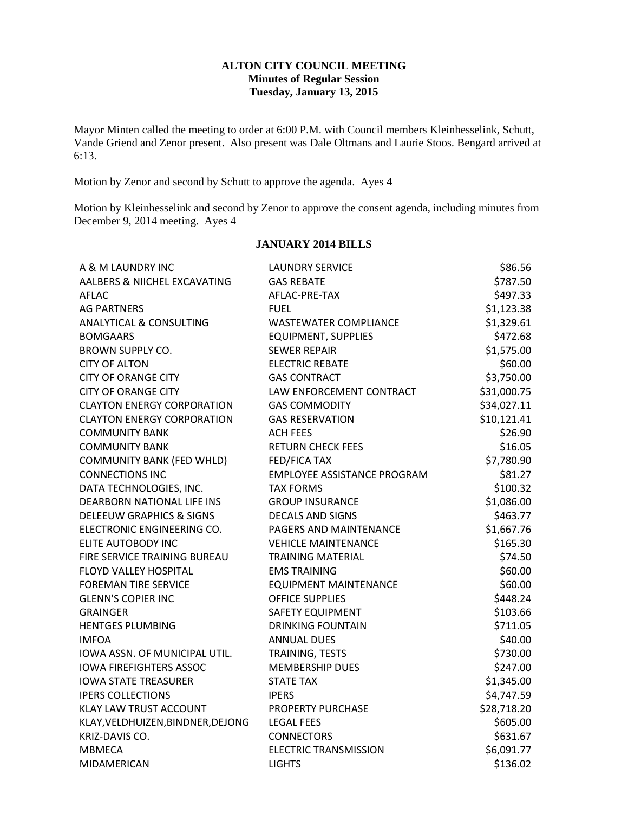## **ALTON CITY COUNCIL MEETING Minutes of Regular Session Tuesday, January 13, 2015**

Mayor Minten called the meeting to order at 6:00 P.M. with Council members Kleinhesselink, Schutt, Vande Griend and Zenor present. Also present was Dale Oltmans and Laurie Stoos. Bengard arrived at 6:13.

Motion by Zenor and second by Schutt to approve the agenda. Ayes 4

Motion by Kleinhesselink and second by Zenor to approve the consent agenda, including minutes from December 9, 2014 meeting. Ayes 4

# **JANUARY 2014 BILLS**

| A & M LAUNDRY INC                   | <b>LAUNDRY SERVICE</b>             | \$86.56     |
|-------------------------------------|------------------------------------|-------------|
| AALBERS & NIICHEL EXCAVATING        | <b>GAS REBATE</b>                  | \$787.50    |
| AFLAC                               | AFLAC-PRE-TAX                      | \$497.33    |
| <b>AG PARTNERS</b>                  | <b>FUEL</b>                        | \$1,123.38  |
| <b>ANALYTICAL &amp; CONSULTING</b>  | <b>WASTEWATER COMPLIANCE</b>       | \$1,329.61  |
| <b>BOMGAARS</b>                     | <b>EQUIPMENT, SUPPLIES</b>         | \$472.68    |
| <b>BROWN SUPPLY CO.</b>             | <b>SEWER REPAIR</b>                | \$1,575.00  |
| <b>CITY OF ALTON</b>                | <b>ELECTRIC REBATE</b>             | \$60.00     |
| <b>CITY OF ORANGE CITY</b>          | <b>GAS CONTRACT</b>                | \$3,750.00  |
| <b>CITY OF ORANGE CITY</b>          | LAW ENFORCEMENT CONTRACT           | \$31,000.75 |
| <b>CLAYTON ENERGY CORPORATION</b>   | <b>GAS COMMODITY</b>               | \$34,027.11 |
| <b>CLAYTON ENERGY CORPORATION</b>   | <b>GAS RESERVATION</b>             | \$10,121.41 |
| <b>COMMUNITY BANK</b>               | <b>ACH FEES</b>                    | \$26.90     |
| <b>COMMUNITY BANK</b>               | <b>RETURN CHECK FEES</b>           | \$16.05     |
| COMMUNITY BANK (FED WHLD)           | FED/FICA TAX                       | \$7,780.90  |
| <b>CONNECTIONS INC</b>              | <b>EMPLOYEE ASSISTANCE PROGRAM</b> | \$81.27     |
| DATA TECHNOLOGIES, INC.             | <b>TAX FORMS</b>                   | \$100.32    |
| DEARBORN NATIONAL LIFE INS          | <b>GROUP INSURANCE</b>             | \$1,086.00  |
| <b>DELEEUW GRAPHICS &amp; SIGNS</b> | <b>DECALS AND SIGNS</b>            | \$463.77    |
| ELECTRONIC ENGINEERING CO.          | PAGERS AND MAINTENANCE             | \$1,667.76  |
| ELITE AUTOBODY INC                  | <b>VEHICLE MAINTENANCE</b>         | \$165.30    |
| FIRE SERVICE TRAINING BUREAU        | <b>TRAINING MATERIAL</b>           | \$74.50     |
| FLOYD VALLEY HOSPITAL               | <b>EMS TRAINING</b>                | \$60.00     |
| <b>FOREMAN TIRE SERVICE</b>         | <b>EQUIPMENT MAINTENANCE</b>       | \$60.00     |
| <b>GLENN'S COPIER INC</b>           | <b>OFFICE SUPPLIES</b>             | \$448.24    |
| <b>GRAINGER</b>                     | SAFETY EQUIPMENT                   | \$103.66    |
| <b>HENTGES PLUMBING</b>             | <b>DRINKING FOUNTAIN</b>           | \$711.05    |
| <b>IMFOA</b>                        | <b>ANNUAL DUES</b>                 | \$40.00     |
| IOWA ASSN. OF MUNICIPAL UTIL.       | TRAINING, TESTS                    | \$730.00    |
| <b>IOWA FIREFIGHTERS ASSOC</b>      | <b>MEMBERSHIP DUES</b>             | \$247.00    |
| <b>IOWA STATE TREASURER</b>         | <b>STATE TAX</b>                   | \$1,345.00  |
| <b>IPERS COLLECTIONS</b>            | <b>IPERS</b>                       | \$4,747.59  |
| <b>KLAY LAW TRUST ACCOUNT</b>       | PROPERTY PURCHASE                  | \$28,718.20 |
| KLAY, VELDHUIZEN, BINDNER, DEJONG   | <b>LEGAL FEES</b>                  | \$605.00    |
| KRIZ-DAVIS CO.                      | <b>CONNECTORS</b>                  | \$631.67    |
| <b>MBMECA</b>                       | <b>ELECTRIC TRANSMISSION</b>       | \$6,091.77  |
| MIDAMERICAN                         | <b>LIGHTS</b>                      | \$136.02    |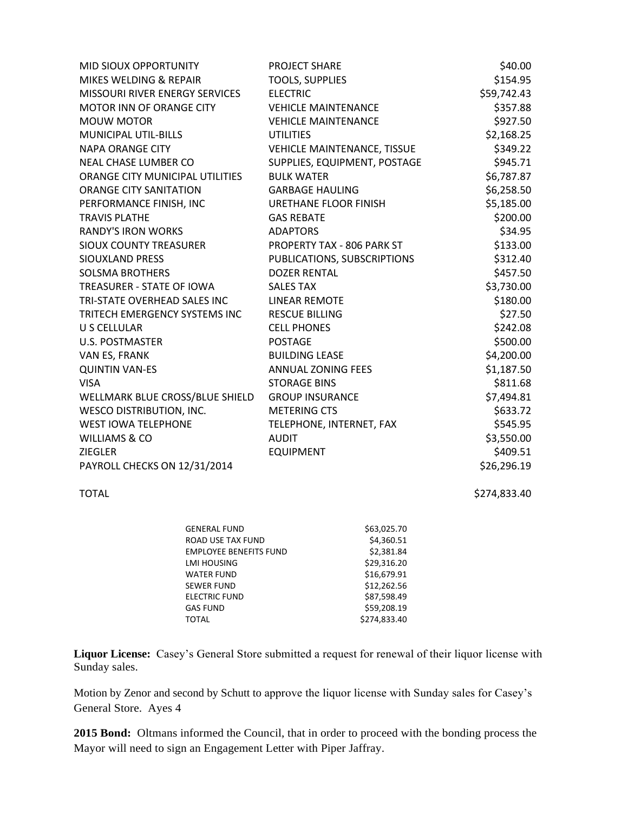| MID SIOUX OPPORTUNITY           | <b>PROJECT SHARE</b>               | \$40.00     |
|---------------------------------|------------------------------------|-------------|
| MIKES WELDING & REPAIR          | <b>TOOLS, SUPPLIES</b>             | \$154.95    |
| MISSOURI RIVER ENERGY SERVICES  | <b>ELECTRIC</b>                    | \$59,742.43 |
| MOTOR INN OF ORANGE CITY        | <b>VEHICLE MAINTENANCE</b>         | \$357.88    |
| <b>MOUW MOTOR</b>               | <b>VEHICLE MAINTENANCE</b>         | \$927.50    |
| MUNICIPAL UTIL-BILLS            | <b>UTILITIES</b>                   | \$2,168.25  |
| <b>NAPA ORANGE CITY</b>         | <b>VEHICLE MAINTENANCE, TISSUE</b> | \$349.22    |
| <b>NEAL CHASE LUMBER CO</b>     | SUPPLIES, EQUIPMENT, POSTAGE       | \$945.71    |
| ORANGE CITY MUNICIPAL UTILITIES | <b>BULK WATER</b>                  | \$6,787.87  |
| <b>ORANGE CITY SANITATION</b>   | <b>GARBAGE HAULING</b>             | \$6,258.50  |
| PERFORMANCE FINISH, INC         | URETHANE FLOOR FINISH              | \$5,185.00  |
| <b>TRAVIS PLATHE</b>            | <b>GAS REBATE</b>                  | \$200.00    |
| <b>RANDY'S IRON WORKS</b>       | <b>ADAPTORS</b>                    | \$34.95     |
| <b>SIOUX COUNTY TREASURER</b>   | PROPERTY TAX - 806 PARK ST         | \$133.00    |
| SIOUXLAND PRESS                 | PUBLICATIONS, SUBSCRIPTIONS        | \$312.40    |
| <b>SOLSMA BROTHERS</b>          | <b>DOZER RENTAL</b>                | \$457.50    |
| TREASURER - STATE OF IOWA       | <b>SALES TAX</b>                   | \$3,730.00  |
| TRI-STATE OVERHEAD SALES INC    | LINEAR REMOTE                      | \$180.00    |
| TRITECH EMERGENCY SYSTEMS INC   | <b>RESCUE BILLING</b>              | \$27.50     |
| U S CELLULAR                    | <b>CELL PHONES</b>                 | \$242.08    |
| <b>U.S. POSTMASTER</b>          | <b>POSTAGE</b>                     | \$500.00    |
| VAN ES, FRANK                   | <b>BUILDING LEASE</b>              | \$4,200.00  |
| <b>QUINTIN VAN-ES</b>           | ANNUAL ZONING FEES                 | \$1,187.50  |
| <b>VISA</b>                     | <b>STORAGE BINS</b>                | \$811.68    |
| WELLMARK BLUE CROSS/BLUE SHIELD | <b>GROUP INSURANCE</b>             | \$7,494.81  |
| <b>WESCO DISTRIBUTION, INC.</b> | <b>METERING CTS</b>                | \$633.72    |
| <b>WEST IOWA TELEPHONE</b>      | TELEPHONE, INTERNET, FAX           | \$545.95    |
| WILLIAMS & CO                   | <b>AUDIT</b>                       | \$3,550.00  |
| <b>ZIEGLER</b>                  | <b>EQUIPMENT</b>                   | \$409.51    |
| PAYROLL CHECKS ON 12/31/2014    |                                    | \$26,296.19 |

TOTAL \$274,833.40

| GENERAL FUND                  | \$63,025.70  |
|-------------------------------|--------------|
| ROAD USE TAX FUND             | \$4,360.51   |
| <b>EMPLOYEE BENEFITS FUND</b> | \$2,381.84   |
| LMI HOUSING                   | \$29,316.20  |
| <b>WATER FUND</b>             | \$16,679.91  |
| SEWER FUND                    | \$12,262.56  |
| <b>ELECTRIC FUND</b>          | \$87.598.49  |
| <b>GAS FUND</b>               | \$59,208.19  |
| TOTAL                         | \$274.833.40 |
|                               |              |

**Liquor License:** Casey's General Store submitted a request for renewal of their liquor license with Sunday sales.

Motion by Zenor and second by Schutt to approve the liquor license with Sunday sales for Casey's General Store. Ayes 4

**2015 Bond:** Oltmans informed the Council, that in order to proceed with the bonding process the Mayor will need to sign an Engagement Letter with Piper Jaffray.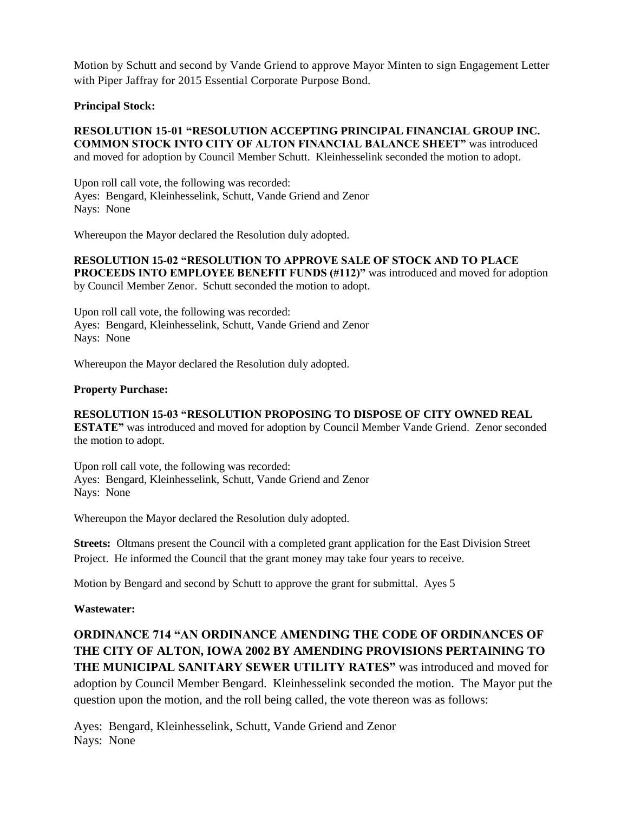Motion by Schutt and second by Vande Griend to approve Mayor Minten to sign Engagement Letter with Piper Jaffray for 2015 Essential Corporate Purpose Bond.

## **Principal Stock:**

**RESOLUTION 15-01 "RESOLUTION ACCEPTING PRINCIPAL FINANCIAL GROUP INC. COMMON STOCK INTO CITY OF ALTON FINANCIAL BALANCE SHEET"** was introduced and moved for adoption by Council Member Schutt. Kleinhesselink seconded the motion to adopt.

Upon roll call vote, the following was recorded: Ayes: Bengard, Kleinhesselink, Schutt, Vande Griend and Zenor Nays: None

Whereupon the Mayor declared the Resolution duly adopted.

**RESOLUTION 15-02 "RESOLUTION TO APPROVE SALE OF STOCK AND TO PLACE PROCEEDS INTO EMPLOYEE BENEFIT FUNDS (#112)"** was introduced and moved for adoption by Council Member Zenor. Schutt seconded the motion to adopt.

Upon roll call vote, the following was recorded: Ayes: Bengard, Kleinhesselink, Schutt, Vande Griend and Zenor Nays: None

Whereupon the Mayor declared the Resolution duly adopted.

#### **Property Purchase:**

### **RESOLUTION 15-03 "RESOLUTION PROPOSING TO DISPOSE OF CITY OWNED REAL**

**ESTATE"** was introduced and moved for adoption by Council Member Vande Griend. Zenor seconded the motion to adopt.

Upon roll call vote, the following was recorded: Ayes: Bengard, Kleinhesselink, Schutt, Vande Griend and Zenor Nays: None

Whereupon the Mayor declared the Resolution duly adopted.

**Streets:** Oltmans present the Council with a completed grant application for the East Division Street Project. He informed the Council that the grant money may take four years to receive.

Motion by Bengard and second by Schutt to approve the grant for submittal. Ayes 5

**Wastewater:** 

**ORDINANCE 714 "AN ORDINANCE AMENDING THE CODE OF ORDINANCES OF THE CITY OF ALTON, IOWA 2002 BY AMENDING PROVISIONS PERTAINING TO THE MUNICIPAL SANITARY SEWER UTILITY RATES"** was introduced and moved for adoption by Council Member Bengard. Kleinhesselink seconded the motion. The Mayor put the question upon the motion, and the roll being called, the vote thereon was as follows:

Ayes: Bengard, Kleinhesselink, Schutt, Vande Griend and Zenor Nays: None